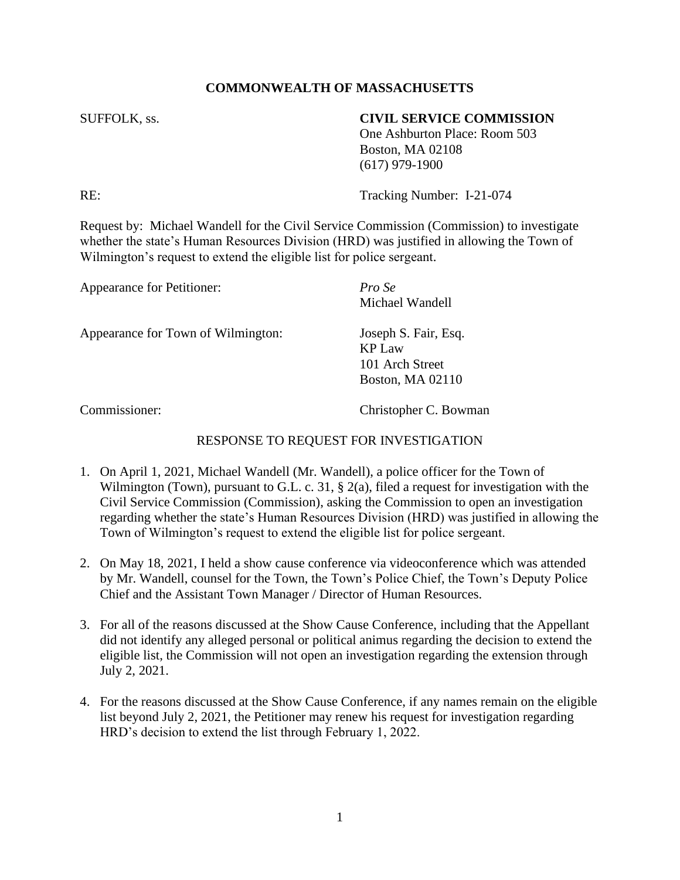## **COMMONWEALTH OF MASSACHUSETTS**

## SUFFOLK, ss. **CIVIL SERVICE COMMISSION**

One Ashburton Place: Room 503 Boston, MA 02108 (617) 979-1900

RE: Tracking Number: I-21-074

Request by: Michael Wandell for the Civil Service Commission (Commission) to investigate whether the state's Human Resources Division (HRD) was justified in allowing the Town of Wilmington's request to extend the eligible list for police sergeant.

| Appearance for Petitioner:         | Pro Se<br>Michael Wandell                                                    |
|------------------------------------|------------------------------------------------------------------------------|
| Appearance for Town of Wilmington: | Joseph S. Fair, Esq.<br><b>KP</b> Law<br>101 Arch Street<br>Boston, MA 02110 |
| Commissioner:                      | Christopher C. Bowman                                                        |

## RESPONSE TO REQUEST FOR INVESTIGATION

- 1. On April 1, 2021, Michael Wandell (Mr. Wandell), a police officer for the Town of Wilmington (Town), pursuant to G.L. c. 31, § 2(a), filed a request for investigation with the Civil Service Commission (Commission), asking the Commission to open an investigation regarding whether the state's Human Resources Division (HRD) was justified in allowing the Town of Wilmington's request to extend the eligible list for police sergeant.
- 2. On May 18, 2021, I held a show cause conference via videoconference which was attended by Mr. Wandell, counsel for the Town, the Town's Police Chief, the Town's Deputy Police Chief and the Assistant Town Manager / Director of Human Resources.
- 3. For all of the reasons discussed at the Show Cause Conference, including that the Appellant did not identify any alleged personal or political animus regarding the decision to extend the eligible list, the Commission will not open an investigation regarding the extension through July 2, 2021.
- 4. For the reasons discussed at the Show Cause Conference, if any names remain on the eligible list beyond July 2, 2021, the Petitioner may renew his request for investigation regarding HRD's decision to extend the list through February 1, 2022.